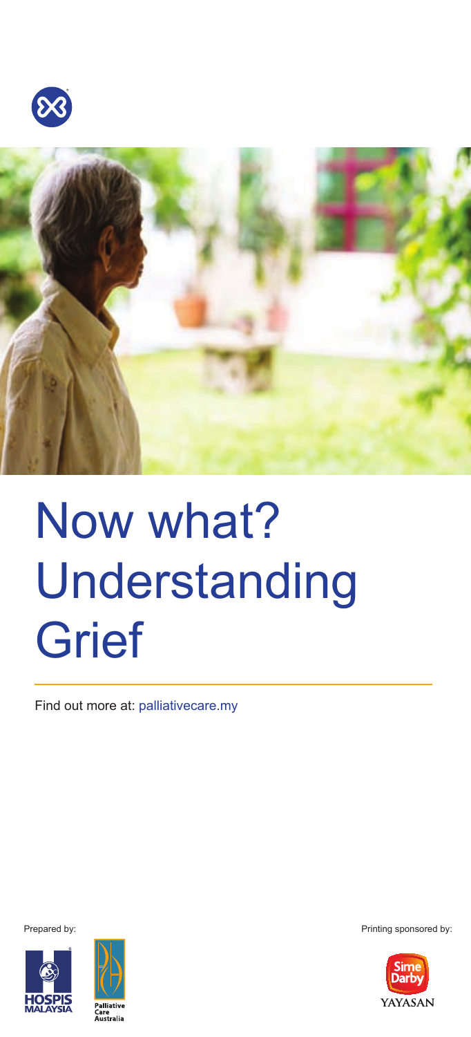



# Now what? Understanding **Grief**

Find out more at: palliativecare.my





Prepared by: Printing sponsored by:

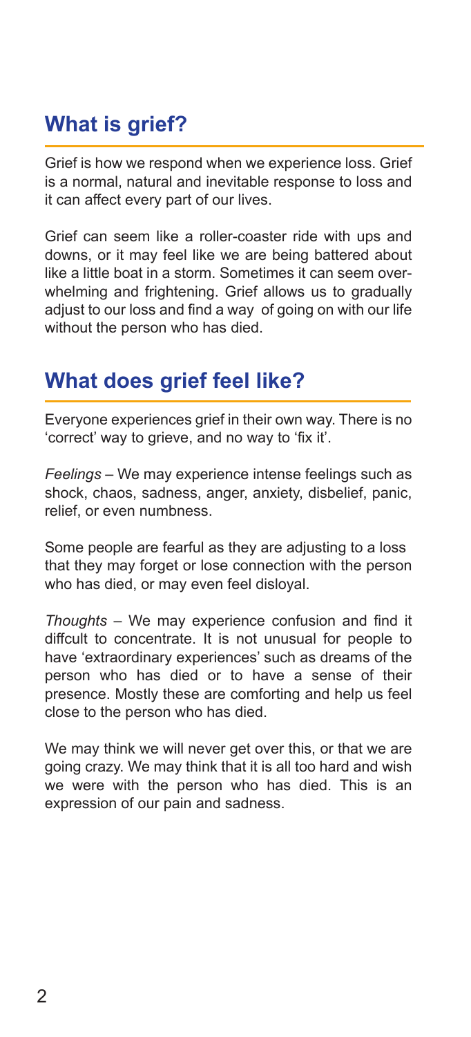# **What is grief?**

Grief is how we respond when we experience loss. Grief is a normal, natural and inevitable response to loss and it can affect every part of our lives.

Grief can seem like a roller-coaster ride with ups and downs, or it may feel like we are being battered about like a little boat in a storm. Sometimes it can seem overwhelming and frightening. Grief allows us to gradually adjust to our loss and find a way of going on with our life without the person who has died.

# **What does grief feel like?**

Everyone experiences grief in their own way. There is no 'correct' way to grieve, and no way to 'fix it'.

*Feelings* – We may experience intense feelings such as shock, chaos, sadness, anger, anxiety, disbelief, panic, relief, or even numbness.

Some people are fearful as they are adjusting to a loss that they may forget or lose connection with the person who has died, or may even feel disloyal.

*Thoughts* – We may experience confusion and find it diffcult to concentrate. It is not unusual for people to have 'extraordinary experiences' such as dreams of the person who has died or to have a sense of their presence. Mostly these are comforting and help us feel close to the person who has died.

We may think we will never get over this, or that we are going crazy. We may think that it is all too hard and wish we were with the person who has died. This is an expression of our pain and sadness.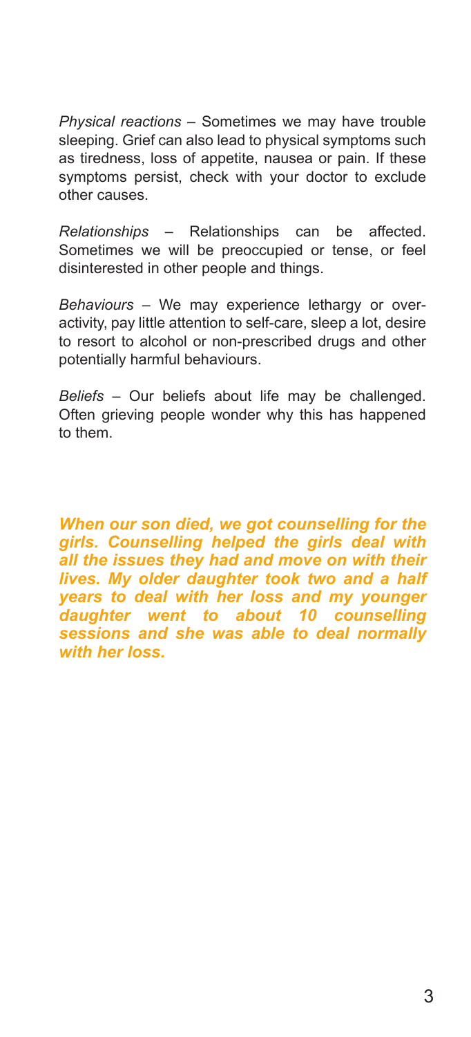*Physical reactions* – Sometimes we may have trouble sleeping. Grief can also lead to physical symptoms such as tiredness, loss of appetite, nausea or pain. If these symptoms persist, check with your doctor to exclude other causes.

*Relationships* – Relationships can be affected. Sometimes we will be preoccupied or tense, or feel disinterested in other people and things.

*Behaviours* – We may experience lethargy or overactivity, pay little attention to self-care, sleep a lot, desire to resort to alcohol or non-prescribed drugs and other potentially harmful behaviours.

*Beliefs* – Our beliefs about life may be challenged. Often grieving people wonder why this has happened to them.

*When our son died, we got counselling for the girls. Counselling helped the girls deal with all the issues they had and move on with their lives. My older daughter took two and a half years to deal with her loss and my younger daughter went to about 10 counselling sessions and she was able to deal normally with her loss.*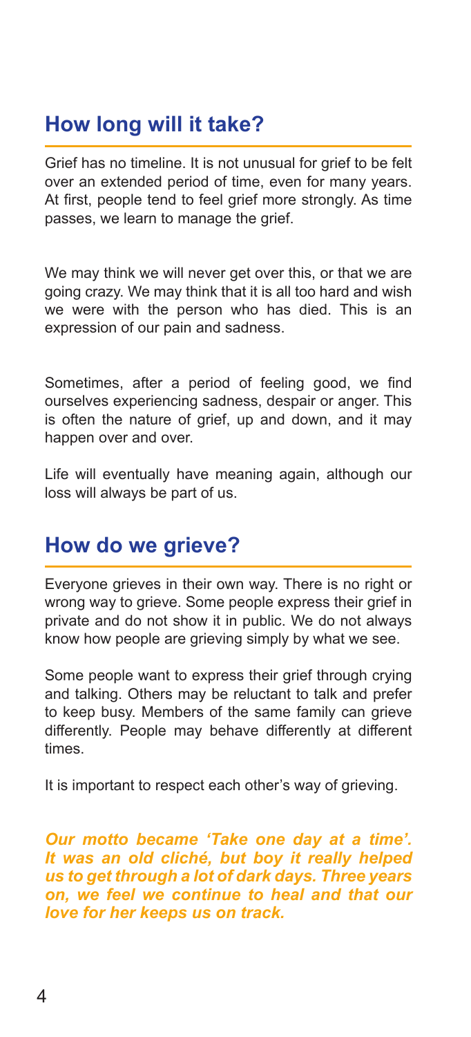# **How long will it take?**

Grief has no timeline. It is not unusual for grief to be felt over an extended period of time, even for many years. At first, people tend to feel grief more strongly. As time passes, we learn to manage the grief.

We may think we will never get over this, or that we are going crazy. We may think that it is all too hard and wish we were with the person who has died. This is an expression of our pain and sadness.

Sometimes, after a period of feeling good, we find ourselves experiencing sadness, despair or anger. This is often the nature of grief, up and down, and it may happen over and over.

Life will eventually have meaning again, although our loss will always be part of us.

## **How do we grieve?**

Everyone grieves in their own way. There is no right or wrong way to grieve. Some people express their grief in private and do not show it in public. We do not always know how people are grieving simply by what we see.

Some people want to express their grief through crying and talking. Others may be reluctant to talk and prefer to keep busy. Members of the same family can grieve differently. People may behave differently at different times.

It is important to respect each other's way of grieving.

*Our motto became 'Take one day at a time'. It was an old cliché, but boy it really helped us to get through a lot of dark days. Three years on, we feel we continue to heal and that our love for her keeps us on track.*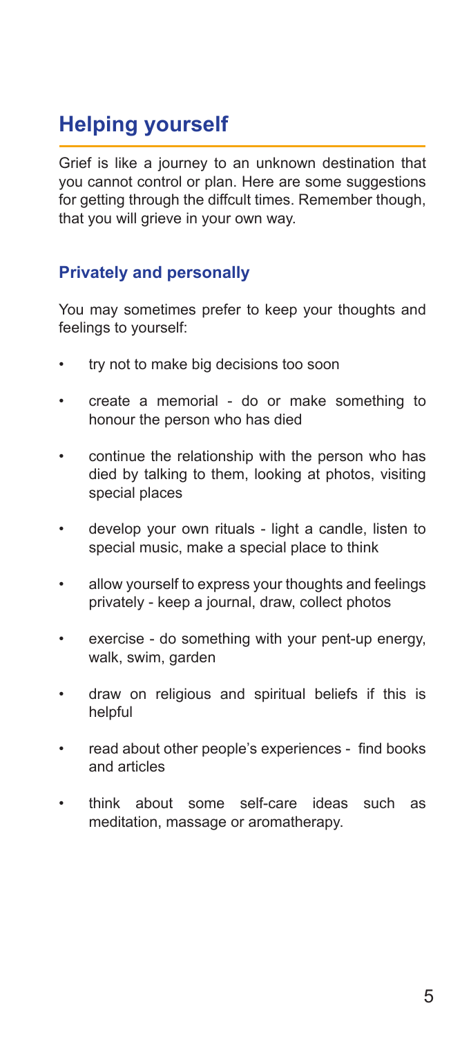# **Helping yourself**

Grief is like a journey to an unknown destination that you cannot control or plan. Here are some suggestions for getting through the diffcult times. Remember though, that you will grieve in your own way.

#### **Privately and personally**

You may sometimes prefer to keep your thoughts and feelings to yourself:

- try not to make big decisions too soon
- create a memorial do or make something to honour the person who has died
- continue the relationship with the person who has died by talking to them, looking at photos, visiting special places
- develop your own rituals light a candle, listen to special music, make a special place to think
- allow yourself to express your thoughts and feelings privately - keep a journal, draw, collect photos
- exercise do something with your pent-up energy, walk, swim, garden
- draw on religious and spiritual beliefs if this is helpful
- read about other people's experiences find books and articles
- think about some self-care ideas such as meditation, massage or aromatherapy.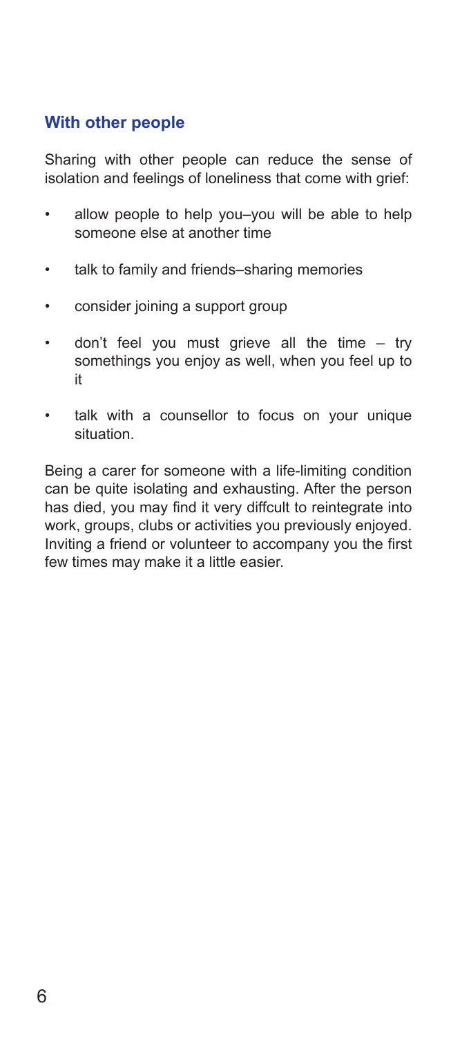#### **With other people**

Sharing with other people can reduce the sense of isolation and feelings of loneliness that come with grief:

- allow people to help you–you will be able to help someone else at another time
- talk to family and friends–sharing memories
- consider joining a support group
- don't feel you must grieve all the time try somethings you enjoy as well, when you feel up to it
- talk with a counsellor to focus on your unique situation.

Being a carer for someone with a life-limiting condition can be quite isolating and exhausting. After the person has died, you may find it very diffcult to reintegrate into work, groups, clubs or activities you previously enjoyed. Inviting a friend or volunteer to accompany you the first few times may make it a little easier.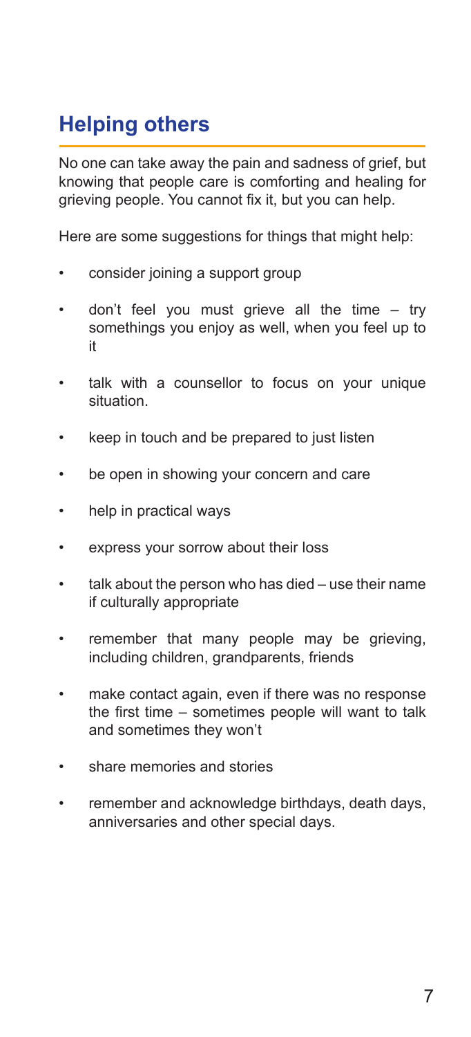# **Helping others**

No one can take away the pain and sadness of grief, but knowing that people care is comforting and healing for grieving people. You cannot fix it, but you can help.

Here are some suggestions for things that might help:

- consider joining a support group
- don't feel you must grieve all the time try somethings you enjoy as well, when you feel up to it
- talk with a counsellor to focus on your unique situation.
- keep in touch and be prepared to just listen
- be open in showing your concern and care
- help in practical ways
- express your sorrow about their loss
- talk about the person who has died use their name if culturally appropriate
- remember that many people may be grieving, including children, grandparents, friends
- make contact again, even if there was no response the first time – sometimes people will want to talk and sometimes they won't
- share memories and stories
- remember and acknowledge birthdays, death days, anniversaries and other special days.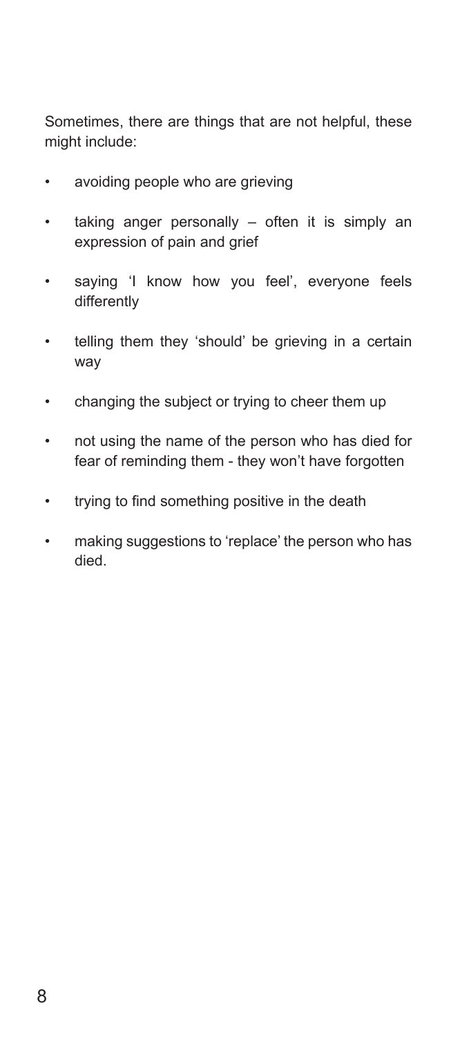Sometimes, there are things that are not helpful, these might include:

- avoiding people who are grieving
- taking anger personally often it is simply an expression of pain and grief
- saying 'I know how you feel', everyone feels differently
- telling them they 'should' be grieving in a certain way
- changing the subject or trying to cheer them up
- not using the name of the person who has died for fear of reminding them - they won't have forgotten
- trying to find something positive in the death
- making suggestions to 'replace' the person who has died.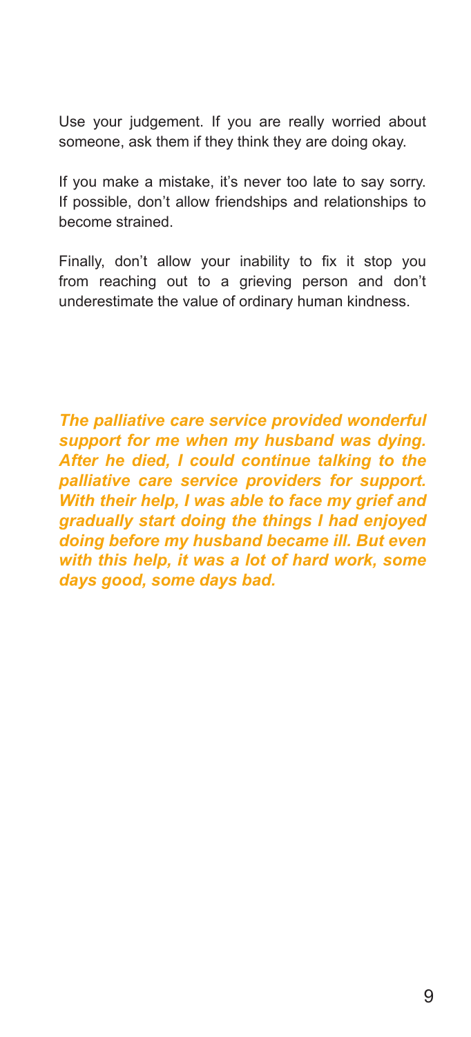Use your judgement. If you are really worried about someone, ask them if they think they are doing okay.

If you make a mistake, it's never too late to say sorry. If possible, don't allow friendships and relationships to become strained.

Finally, don't allow your inability to fix it stop you from reaching out to a grieving person and don't underestimate the value of ordinary human kindness.

*The palliative care service provided wonderful support for me when my husband was dying. After he died, I could continue talking to the palliative care service providers for support. With their help, I was able to face my grief and gradually start doing the things I had enjoyed doing before my husband became ill. But even with this help, it was a lot of hard work, some days good, some days bad.*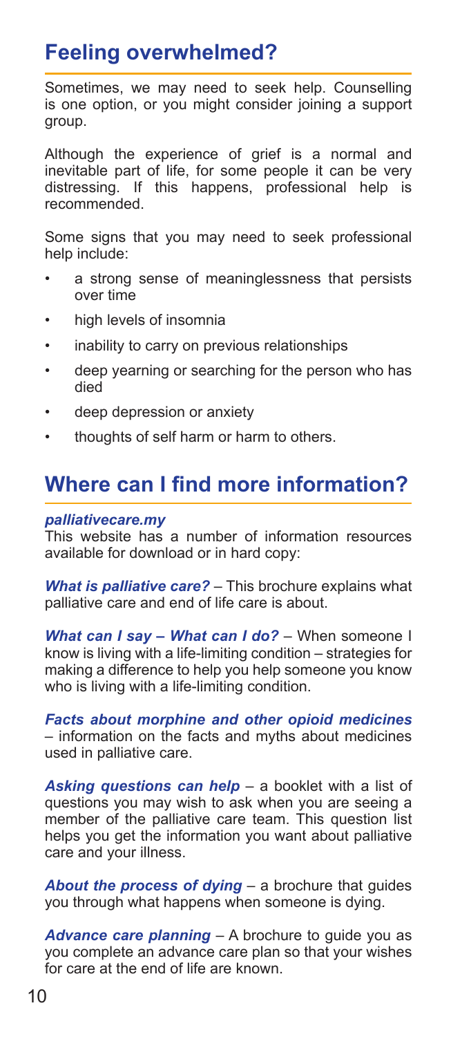# **Feeling overwhelmed?**

Sometimes, we may need to seek help. Counselling is one option, or you might consider joining a support group.

Although the experience of grief is a normal and inevitable part of life, for some people it can be very distressing. If this happens, professional help is recommended.

Some signs that you may need to seek professional help include:

- a strong sense of meaninglessness that persists over time
- high levels of insomnia
- inability to carry on previous relationships
- deep yearning or searching for the person who has died
- deep depression or anxiety
- thoughts of self harm or harm to others.

# **Where can I find more information?**

#### *palliativecare.my*

This website has a number of information resources available for download or in hard copy:

*What is palliative care?* – This brochure explains what palliative care and end of life care is about.

*What can I say – What can I do?* – When someone I know is living with a life-limiting condition – strategies for making a difference to help you help someone you know who is living with a life-limiting condition.

*Facts about morphine and other opioid medicines*  – information on the facts and myths about medicines used in palliative care.

*Asking questions can help* – a booklet with a list of questions you may wish to ask when you are seeing a member of the palliative care team. This question list helps you get the information you want about palliative care and your illness.

*About the process of dying* – a brochure that guides you through what happens when someone is dying.

*Advance care planning* – A brochure to guide you as you complete an advance care plan so that your wishes for care at the end of life are known.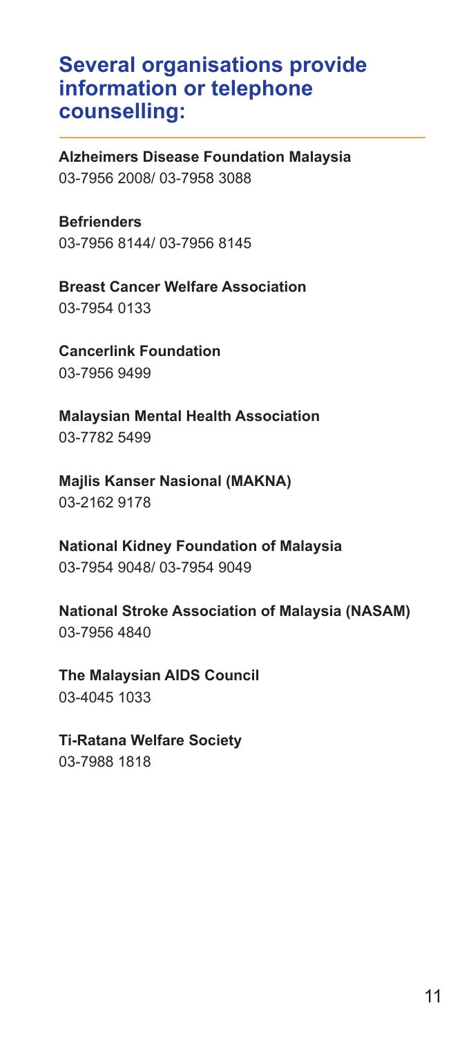### **Several organisations provide information or telephone counselling:**

**Alzheimers Disease Foundation Malaysia** 03-7956 2008/ 03-7958 3088

**Befrienders**  03-7956 8144/ 03-7956 8145

**Breast Cancer Welfare Association** 03-7954 0133

**Cancerlink Foundation** 03-7956 9499

**Malaysian Mental Health Association** 03-7782 5499

**Majlis Kanser Nasional (MAKNA)** 03-2162 9178

**National Kidney Foundation of Malaysia** 03-7954 9048/ 03-7954 9049

**National Stroke Association of Malaysia (NASAM)** 03-7956 4840

**The Malaysian AIDS Council** 03-4045 1033

**Ti-Ratana Welfare Society** 

03-7988 1818